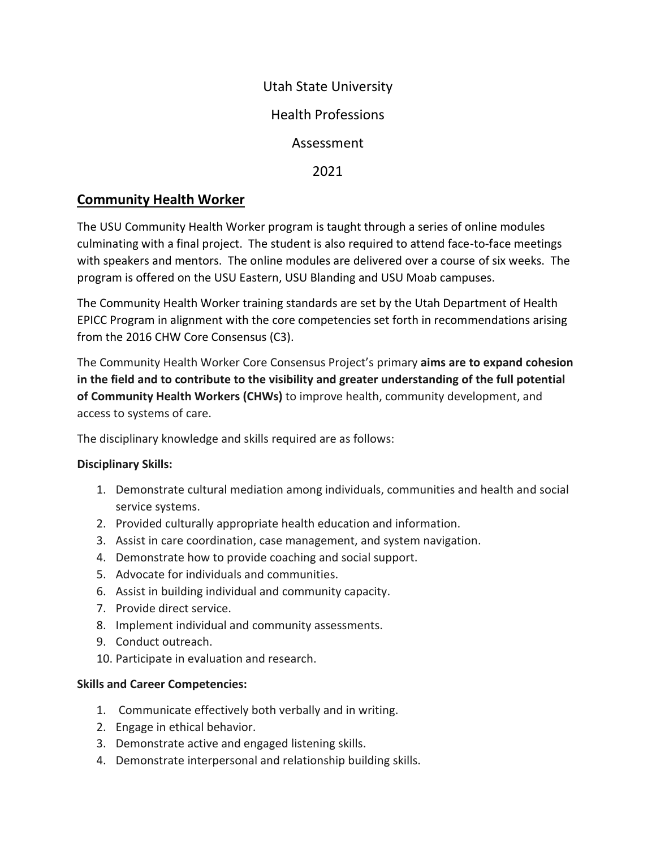### Utah State University

# Health Professions

## Assessment

2021

# **Community Health Worker**

The USU Community Health Worker program is taught through a series of online modules culminating with a final project. The student is also required to attend face-to-face meetings with speakers and mentors. The online modules are delivered over a course of six weeks. The program is offered on the USU Eastern, USU Blanding and USU Moab campuses.

The Community Health Worker training standards are set by the Utah Department of Health EPICC Program in alignment with the core competencies set forth in recommendations arising from the 2016 CHW Core Consensus (C3).

The Community Health Worker Core Consensus Project's primary **aims are to expand cohesion in the field and to contribute to the visibility and greater understanding of the full potential of Community Health Workers (CHWs)** to improve health, community development, and access to systems of care.

The disciplinary knowledge and skills required are as follows:

#### **Disciplinary Skills:**

- 1. Demonstrate cultural mediation among individuals, communities and health and social service systems.
- 2. Provided culturally appropriate health education and information.
- 3. Assist in care coordination, case management, and system navigation.
- 4. Demonstrate how to provide coaching and social support.
- 5. Advocate for individuals and communities.
- 6. Assist in building individual and community capacity.
- 7. Provide direct service.
- 8. Implement individual and community assessments.
- 9. Conduct outreach.
- 10. Participate in evaluation and research.

#### **Skills and Career Competencies:**

- 1. Communicate effectively both verbally and in writing.
- 2. Engage in ethical behavior.
- 3. Demonstrate active and engaged listening skills.
- 4. Demonstrate interpersonal and relationship building skills.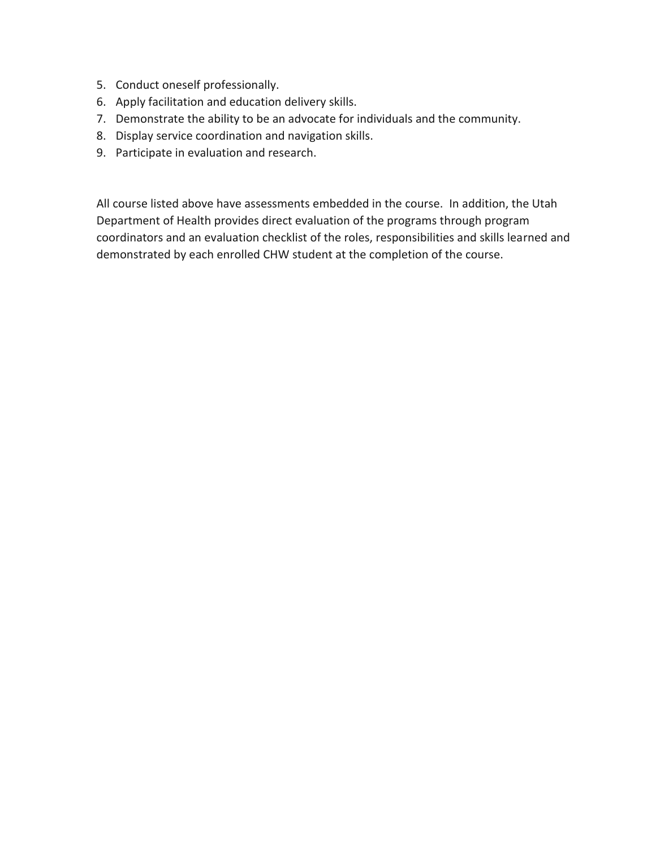- 5. Conduct oneself professionally.
- 6. Apply facilitation and education delivery skills.
- 7. Demonstrate the ability to be an advocate for individuals and the community.
- 8. Display service coordination and navigation skills.
- 9. Participate in evaluation and research.

All course listed above have assessments embedded in the course. In addition, the Utah Department of Health provides direct evaluation of the programs through program coordinators and an evaluation checklist of the roles, responsibilities and skills learned and demonstrated by each enrolled CHW student at the completion of the course.